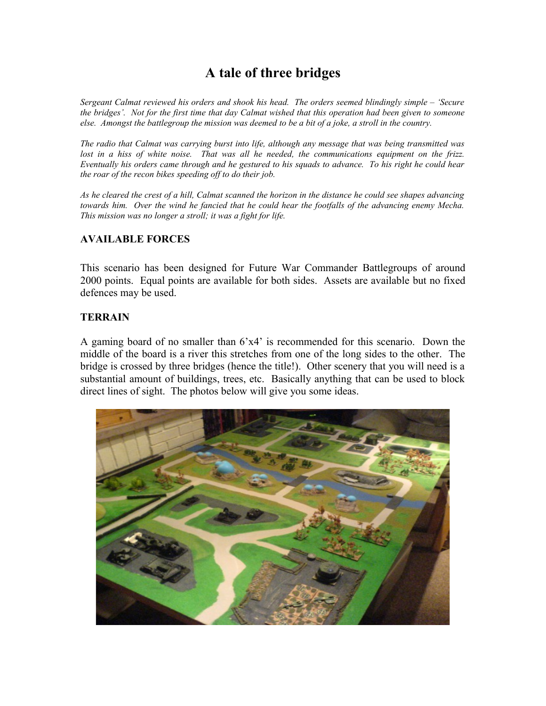# **A tale of three bridges**

*Sergeant Calmat reviewed his orders and shook his head. The orders seemed blindingly simple – 'Secure the bridges'. Not for the first time that day Calmat wished that this operation had been given to someone else. Amongst the battlegroup the mission was deemed to be a bit of a joke, a stroll in the country.*

*The radio that Calmat was carrying burst into life, although any message that was being transmitted was lost in a hiss of white noise. That was all he needed, the communications equipment on the frizz. Eventually his orders came through and he gestured to his squads to advance. To his right he could hear the roar of the recon bikes speeding off to do their job.*

*As he cleared the crest of a hill, Calmat scanned the horizon in the distance he could see shapes advancing towards him. Over the wind he fancied that he could hear the footfalls of the advancing enemy Mecha. This mission was no longer a stroll; it was a fight for life.*

## **AVAILABLE FORCES**

This scenario has been designed for Future War Commander Battlegroups of around 2000 points. Equal points are available for both sides. Assets are available but no fixed defences may be used.

#### **TERRAIN**

A gaming board of no smaller than 6'x4' is recommended for this scenario. Down the middle of the board is a river this stretches from one of the long sides to the other. The bridge is crossed by three bridges (hence the title!). Other scenery that you will need is a substantial amount of buildings, trees, etc. Basically anything that can be used to block direct lines of sight. The photos below will give you some ideas.